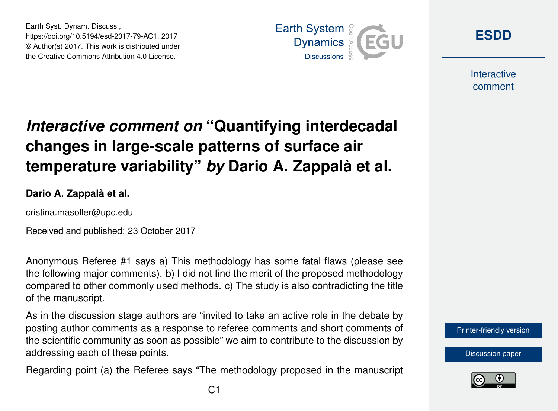Earth Syst. Dynam. Discuss., https://doi.org/10.5194/esd-2017-79-AC1, 2017 © Author(s) 2017. This work is distributed under the Creative Commons Attribution 4.0 License.



**[ESDD](https://www.earth-syst-dynam-discuss.net/)**

**Interactive** comment

# *Interactive comment on* **"Quantifying interdecadal changes in large-scale patterns of surface air temperature variability"** *by* **Dario A. Zappalà et al.**

**Dario A. Zappalà et al.**

cristina.masoller@upc.edu

Received and published: 23 October 2017

Anonymous Referee #1 says a) This methodology has some fatal flaws (please see the following major comments). b) I did not find the merit of the proposed methodology compared to other commonly used methods. c) The study is also contradicting the title of the manuscript.

As in the discussion stage authors are "invited to take an active role in the debate by posting author comments as a response to referee comments and short comments of the scientific community as soon as possible" we aim to contribute to the discussion by addressing each of these points.

Regarding point (a) the Referee says "The methodology proposed in the manuscript

[Printer-friendly version](https://www.earth-syst-dynam-discuss.net/esd-2017-79/esd-2017-79-AC1-print.pdf)

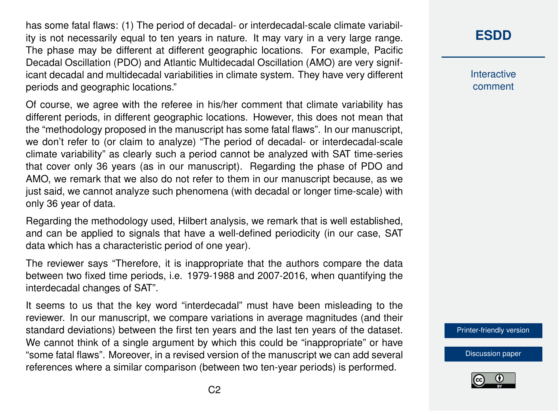has some fatal flaws: (1) The period of decadal- or interdecadal-scale climate variability is not necessarily equal to ten years in nature. It may vary in a very large range. The phase may be different at different geographic locations. For example, Pacific Decadal Oscillation (PDO) and Atlantic Multidecadal Oscillation (AMO) are very significant decadal and multidecadal variabilities in climate system. They have very different periods and geographic locations."

Of course, we agree with the referee in his/her comment that climate variability has different periods, in different geographic locations. However, this does not mean that the "methodology proposed in the manuscript has some fatal flaws". In our manuscript, we don't refer to (or claim to analyze) "The period of decadal- or interdecadal-scale climate variability" as clearly such a period cannot be analyzed with SAT time-series that cover only 36 years (as in our manuscript). Regarding the phase of PDO and AMO, we remark that we also do not refer to them in our manuscript because, as we just said, we cannot analyze such phenomena (with decadal or longer time-scale) with only 36 year of data.

Regarding the methodology used, Hilbert analysis, we remark that is well established, and can be applied to signals that have a well-defined periodicity (in our case, SAT data which has a characteristic period of one year).

The reviewer says "Therefore, it is inappropriate that the authors compare the data between two fixed time periods, i.e. 1979-1988 and 2007-2016, when quantifying the interdecadal changes of SAT".

It seems to us that the key word "interdecadal" must have been misleading to the reviewer. In our manuscript, we compare variations in average magnitudes (and their standard deviations) between the first ten years and the last ten years of the dataset. We cannot think of a single argument by which this could be "inappropriate" or have "some fatal flaws". Moreover, in a revised version of the manuscript we can add several references where a similar comparison (between two ten-year periods) is performed.

## **[ESDD](https://www.earth-syst-dynam-discuss.net/)**

**Interactive** comment

[Printer-friendly version](https://www.earth-syst-dynam-discuss.net/esd-2017-79/esd-2017-79-AC1-print.pdf)

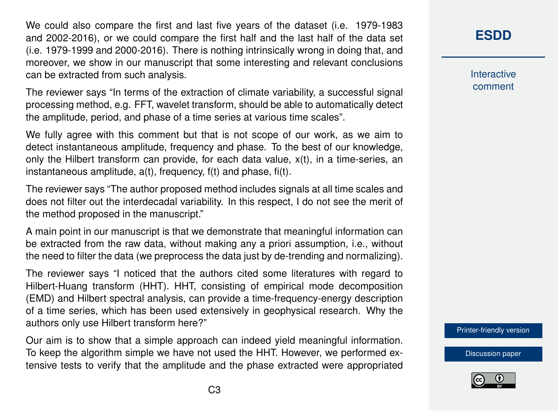We could also compare the first and last five years of the dataset (i.e. 1979-1983 and 2002-2016), or we could compare the first half and the last half of the data set (i.e. 1979-1999 and 2000-2016). There is nothing intrinsically wrong in doing that, and moreover, we show in our manuscript that some interesting and relevant conclusions can be extracted from such analysis.

The reviewer says "In terms of the extraction of climate variability, a successful signal processing method, e.g. FFT, wavelet transform, should be able to automatically detect the amplitude, period, and phase of a time series at various time scales".

We fully agree with this comment but that is not scope of our work, as we aim to detect instantaneous amplitude, frequency and phase. To the best of our knowledge, only the Hilbert transform can provide, for each data value, x(t), in a time-series, an instantaneous amplitude, a(t), frequency, f(t) and phase, fi(t).

The reviewer says "The author proposed method includes signals at all time scales and does not filter out the interdecadal variability. In this respect, I do not see the merit of the method proposed in the manuscript."

A main point in our manuscript is that we demonstrate that meaningful information can be extracted from the raw data, without making any a priori assumption, i.e., without the need to filter the data (we preprocess the data just by de-trending and normalizing).

The reviewer says "I noticed that the authors cited some literatures with regard to Hilbert-Huang transform (HHT). HHT, consisting of empirical mode decomposition (EMD) and Hilbert spectral analysis, can provide a time-frequency-energy description of a time series, which has been used extensively in geophysical research. Why the authors only use Hilbert transform here?"

Our aim is to show that a simple approach can indeed yield meaningful information. To keep the algorithm simple we have not used the HHT. However, we performed extensive tests to verify that the amplitude and the phase extracted were appropriated

### **[ESDD](https://www.earth-syst-dynam-discuss.net/)**

**Interactive** comment

[Printer-friendly version](https://www.earth-syst-dynam-discuss.net/esd-2017-79/esd-2017-79-AC1-print.pdf)

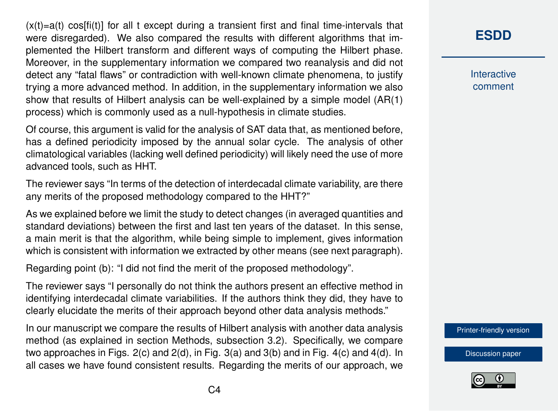$(x(t)=a(t))$  cosffi(t)] for all t except during a transient first and final time-intervals that were disregarded). We also compared the results with different algorithms that implemented the Hilbert transform and different ways of computing the Hilbert phase. Moreover, in the supplementary information we compared two reanalysis and did not detect any "fatal flaws" or contradiction with well-known climate phenomena, to justify trying a more advanced method. In addition, in the supplementary information we also show that results of Hilbert analysis can be well-explained by a simple model (AR(1) process) which is commonly used as a null-hypothesis in climate studies.

Of course, this argument is valid for the analysis of SAT data that, as mentioned before, has a defined periodicity imposed by the annual solar cycle. The analysis of other climatological variables (lacking well defined periodicity) will likely need the use of more advanced tools, such as HHT.

The reviewer says "In terms of the detection of interdecadal climate variability, are there any merits of the proposed methodology compared to the HHT?"

As we explained before we limit the study to detect changes (in averaged quantities and standard deviations) between the first and last ten years of the dataset. In this sense, a main merit is that the algorithm, while being simple to implement, gives information which is consistent with information we extracted by other means (see next paragraph).

Regarding point (b): "I did not find the merit of the proposed methodology".

The reviewer says "I personally do not think the authors present an effective method in identifying interdecadal climate variabilities. If the authors think they did, they have to clearly elucidate the merits of their approach beyond other data analysis methods."

In our manuscript we compare the results of Hilbert analysis with another data analysis method (as explained in section Methods, subsection 3.2). Specifically, we compare two approaches in Figs. 2(c) and 2(d), in Fig. 3(a) and 3(b) and in Fig. 4(c) and 4(d). In all cases we have found consistent results. Regarding the merits of our approach, we

## **[ESDD](https://www.earth-syst-dynam-discuss.net/)**

**Interactive** comment

[Printer-friendly version](https://www.earth-syst-dynam-discuss.net/esd-2017-79/esd-2017-79-AC1-print.pdf)

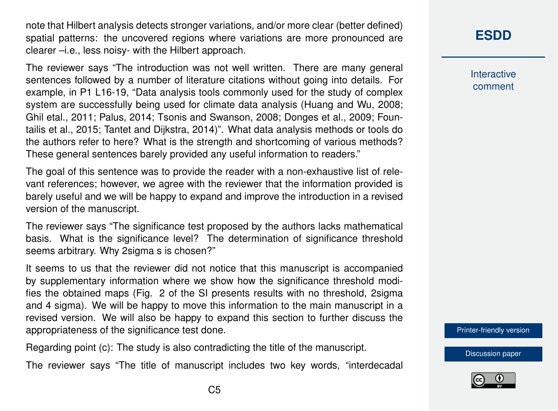note that Hilbert analysis detects stronger variations, and/or more clear (better defined) spatial patterns: the uncovered regions where variations are more pronounced are clearer –i.e., less noisy- with the Hilbert approach.

The reviewer says "The introduction was not well written. There are many general sentences followed by a number of literature citations without going into details. For example, in P1 L16-19, "Data analysis tools commonly used for the study of complex system are successfully being used for climate data analysis (Huang and Wu, 2008; Ghil etal., 2011; Palus, 2014; Tsonis and Swanson, 2008; Donges et al., 2009; Fountailis et al., 2015; Tantet and Dijkstra, 2014)". What data analysis methods or tools do the authors refer to here? What is the strength and shortcoming of various methods? These general sentences barely provided any useful information to readers."

The goal of this sentence was to provide the reader with a non-exhaustive list of relevant references; however, we agree with the reviewer that the information provided is barely useful and we will be happy to expand and improve the introduction in a revised version of the manuscript.

The reviewer says "The significance test proposed by the authors lacks mathematical basis. What is the significance level? The determination of significance threshold seems arbitrary. Why 2sigma s is chosen?"

It seems to us that the reviewer did not notice that this manuscript is accompanied by supplementary information where we show how the significance threshold modifies the obtained maps (Fig. 2 of the SI presents results with no threshold, 2sigma and 4 sigma). We will be happy to move this information to the main manuscript in a revised version. We will also be happy to expand this section to further discuss the appropriateness of the significance test done.

Regarding point (c): The study is also contradicting the title of the manuscript.

The reviewer says "The title of manuscript includes two key words, "interdecadal

### **[ESDD](https://www.earth-syst-dynam-discuss.net/)**

**Interactive** comment

[Printer-friendly version](https://www.earth-syst-dynam-discuss.net/esd-2017-79/esd-2017-79-AC1-print.pdf)

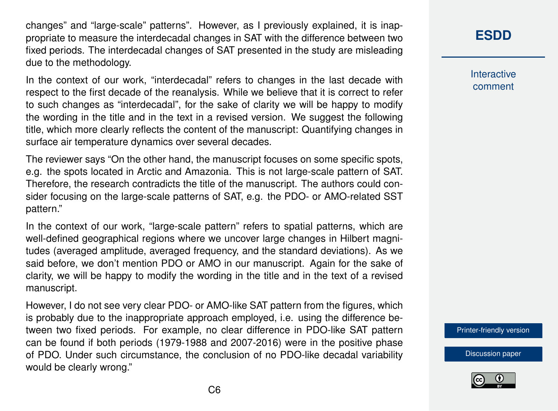changes" and "large-scale" patterns". However, as I previously explained, it is inappropriate to measure the interdecadal changes in SAT with the difference between two fixed periods. The interdecadal changes of SAT presented in the study are misleading due to the methodology.

In the context of our work, "interdecadal" refers to changes in the last decade with respect to the first decade of the reanalysis. While we believe that it is correct to refer to such changes as "interdecadal", for the sake of clarity we will be happy to modify the wording in the title and in the text in a revised version. We suggest the following title, which more clearly reflects the content of the manuscript: Quantifying changes in surface air temperature dynamics over several decades.

The reviewer says "On the other hand, the manuscript focuses on some specific spots, e.g. the spots located in Arctic and Amazonia. This is not large-scale pattern of SAT. Therefore, the research contradicts the title of the manuscript. The authors could consider focusing on the large-scale patterns of SAT, e.g. the PDO- or AMO-related SST pattern."

In the context of our work, "large-scale pattern" refers to spatial patterns, which are well-defined geographical regions where we uncover large changes in Hilbert magnitudes (averaged amplitude, averaged frequency, and the standard deviations). As we said before, we don't mention PDO or AMO in our manuscript. Again for the sake of clarity, we will be happy to modify the wording in the title and in the text of a revised manuscript.

However, I do not see very clear PDO- or AMO-like SAT pattern from the figures, which is probably due to the inappropriate approach employed, i.e. using the difference between two fixed periods. For example, no clear difference in PDO-like SAT pattern can be found if both periods (1979-1988 and 2007-2016) were in the positive phase of PDO. Under such circumstance, the conclusion of no PDO-like decadal variability would be clearly wrong."

## **[ESDD](https://www.earth-syst-dynam-discuss.net/)**

**Interactive** comment

[Printer-friendly version](https://www.earth-syst-dynam-discuss.net/esd-2017-79/esd-2017-79-AC1-print.pdf)

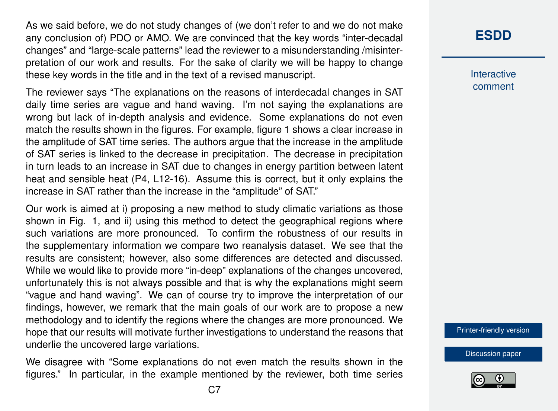As we said before, we do not study changes of (we don't refer to and we do not make any conclusion of) PDO or AMO. We are convinced that the key words "inter-decadal changes" and "large-scale patterns" lead the reviewer to a misunderstanding /misinterpretation of our work and results. For the sake of clarity we will be happy to change these key words in the title and in the text of a revised manuscript.

The reviewer says "The explanations on the reasons of interdecadal changes in SAT daily time series are vague and hand waving. I'm not saying the explanations are wrong but lack of in-depth analysis and evidence. Some explanations do not even match the results shown in the figures. For example, figure 1 shows a clear increase in the amplitude of SAT time series. The authors argue that the increase in the amplitude of SAT series is linked to the decrease in precipitation. The decrease in precipitation in turn leads to an increase in SAT due to changes in energy partition between latent heat and sensible heat (P4, L12-16). Assume this is correct, but it only explains the increase in SAT rather than the increase in the "amplitude" of SAT."

Our work is aimed at i) proposing a new method to study climatic variations as those shown in Fig. 1, and ii) using this method to detect the geographical regions where such variations are more pronounced. To confirm the robustness of our results in the supplementary information we compare two reanalysis dataset. We see that the results are consistent; however, also some differences are detected and discussed. While we would like to provide more "in-deep" explanations of the changes uncovered, unfortunately this is not always possible and that is why the explanations might seem "vague and hand waving". We can of course try to improve the interpretation of our findings, however, we remark that the main goals of our work are to propose a new methodology and to identify the regions where the changes are more pronounced. We hope that our results will motivate further investigations to understand the reasons that underlie the uncovered large variations.

We disagree with "Some explanations do not even match the results shown in the figures." In particular, in the example mentioned by the reviewer, both time series

#### **[ESDD](https://www.earth-syst-dynam-discuss.net/)**

**Interactive** comment

[Printer-friendly version](https://www.earth-syst-dynam-discuss.net/esd-2017-79/esd-2017-79-AC1-print.pdf)